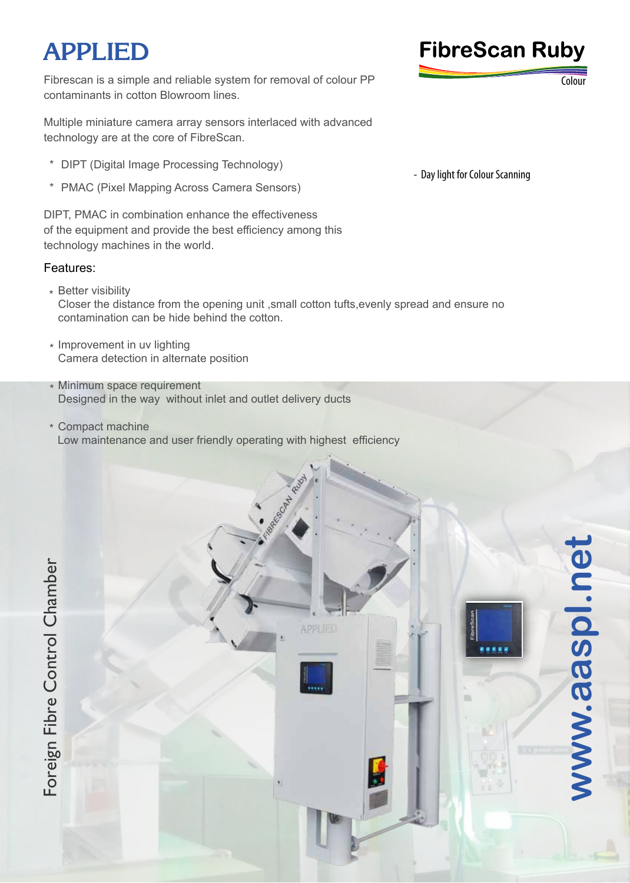# **APPLIED FibreScan Ruby**

Fibrescan is a simple and reliable system for removal of colour PP contaminants in cotton Blowroom lines.

Multiple miniature camera array sensors interlaced with advanced technology are at the core of FibreScan.

- \* DIPT (Digital Image Processing Technology)
- \* PMAC (Pixel Mapping Across Camera Sensors)

DIPT, PMAC in combination enhance the effectiveness of the equipment and provide the best efficiency among this technology machines in the world.

### Features:

\* Better visibility Closer the distance from the opening unit ,small cotton tufts,evenly spread and ensure no contamination can be hide behind the cotton.

**APPLIED** 

- \* Improvement in uv lighting Camera detection in alternate position
- Minimum space requirement \* Designed in the way without inlet and outlet delivery ducts
- Compact machine \* Low maintenance and user friendly operating with highest efficiency



Colour

**ww**

**w.aaspl.net**

aaspl.ne